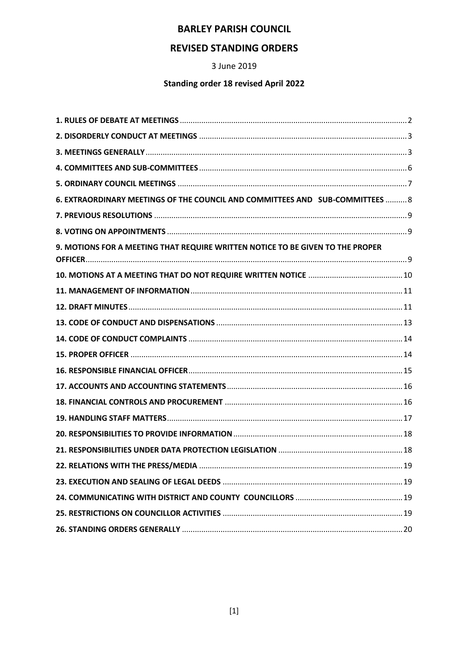### **BARLEY PARISH COUNCIL**

## **REVISED STANDING ORDERS**

3 June 2019

### **Standing order 18 revised April 2022**

| 6. EXTRAORDINARY MEETINGS OF THE COUNCIL AND COMMITTEES AND SUB-COMMITTEES  8  |  |
|--------------------------------------------------------------------------------|--|
|                                                                                |  |
|                                                                                |  |
| 9. MOTIONS FOR A MEETING THAT REQUIRE WRITTEN NOTICE TO BE GIVEN TO THE PROPER |  |
|                                                                                |  |
|                                                                                |  |
|                                                                                |  |
|                                                                                |  |
|                                                                                |  |
|                                                                                |  |
|                                                                                |  |
|                                                                                |  |
|                                                                                |  |
|                                                                                |  |
|                                                                                |  |
|                                                                                |  |
|                                                                                |  |
|                                                                                |  |
|                                                                                |  |
|                                                                                |  |
|                                                                                |  |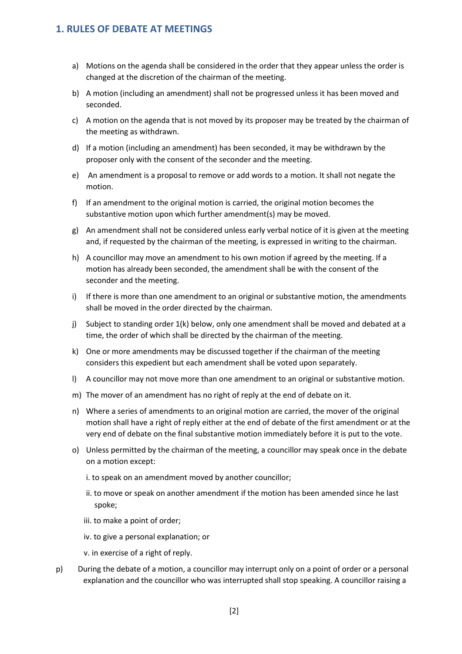#### <span id="page-1-0"></span>**1. RULES OF DEBATE AT MEETINGS**

- a) Motions on the agenda shall be considered in the order that they appear unless the order is changed at the discretion of the chairman of the meeting.
- b) A motion (including an amendment) shall not be progressed unless it has been moved and seconded.
- c) A motion on the agenda that is not moved by its proposer may be treated by the chairman of the meeting as withdrawn.
- d) If a motion (including an amendment) has been seconded, it may be withdrawn by the proposer only with the consent of the seconder and the meeting.
- e) An amendment is a proposal to remove or add words to a motion. It shall not negate the motion.
- f) If an amendment to the original motion is carried, the original motion becomes the substantive motion upon which further amendment(s) may be moved.
- g) An amendment shall not be considered unless early verbal notice of it is given at the meeting and, if requested by the chairman of the meeting, is expressed in writing to the chairman.
- h) A councillor may move an amendment to his own motion if agreed by the meeting. If a motion has already been seconded, the amendment shall be with the consent of the seconder and the meeting.
- i) If there is more than one amendment to an original or substantive motion, the amendments shall be moved in the order directed by the chairman.
- j) Subject to standing order 1(k) below, only one amendment shall be moved and debated at a time, the order of which shall be directed by the chairman of the meeting.
- k) One or more amendments may be discussed together if the chairman of the meeting considers this expedient but each amendment shall be voted upon separately.
- l) A councillor may not move more than one amendment to an original or substantive motion.
- m) The mover of an amendment has no right of reply at the end of debate on it.
- n) Where a series of amendments to an original motion are carried, the mover of the original motion shall have a right of reply either at the end of debate of the first amendment or at the very end of debate on the final substantive motion immediately before it is put to the vote.
- o) Unless permitted by the chairman of the meeting, a councillor may speak once in the debate on a motion except:
	- i. to speak on an amendment moved by another councillor;
	- ii. to move or speak on another amendment if the motion has been amended since he last spoke;
	- iii. to make a point of order;
	- iv. to give a personal explanation; or
	- v. in exercise of a right of reply.
- p) During the debate of a motion, a councillor may interrupt only on a point of order or a personal explanation and the councillor who was interrupted shall stop speaking. A councillor raising a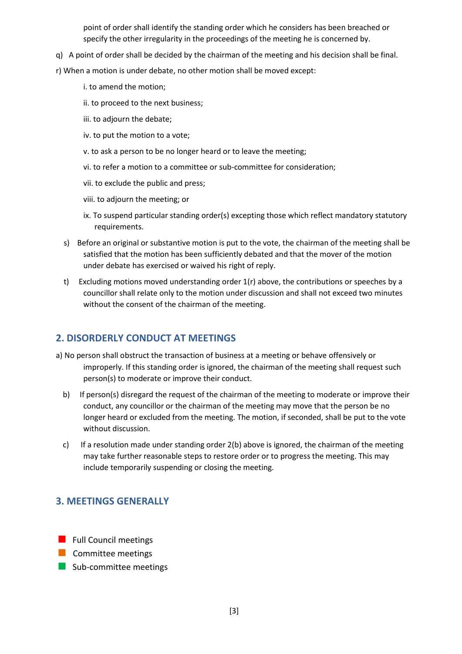point of order shall identify the standing order which he considers has been breached or specify the other irregularity in the proceedings of the meeting he is concerned by.

- q) A point of order shall be decided by the chairman of the meeting and his decision shall be final.
- r) When a motion is under debate, no other motion shall be moved except:
	- i. to amend the motion;
	- ii. to proceed to the next business;
	- iii. to adjourn the debate;
	- iv. to put the motion to a vote;
	- v. to ask a person to be no longer heard or to leave the meeting;
	- vi. to refer a motion to a committee or sub-committee for consideration;
	- vii. to exclude the public and press;
	- viii. to adjourn the meeting; or
	- ix. To suspend particular standing order(s) excepting those which reflect mandatory statutory requirements.
	- s) Before an original or substantive motion is put to the vote, the chairman of the meeting shall be satisfied that the motion has been sufficiently debated and that the mover of the motion under debate has exercised or waived his right of reply.
	- t) Excluding motions moved understanding order 1(r) above, the contributions or speeches by a councillor shall relate only to the motion under discussion and shall not exceed two minutes without the consent of the chairman of the meeting.

### <span id="page-2-0"></span>**2. DISORDERLY CONDUCT AT MEETINGS**

- a) No person shall obstruct the transaction of business at a meeting or behave offensively or improperly. If this standing order is ignored, the chairman of the meeting shall request such person(s) to moderate or improve their conduct.
	- b) If person(s) disregard the request of the chairman of the meeting to moderate or improve their conduct, any councillor or the chairman of the meeting may move that the person be no longer heard or excluded from the meeting. The motion, if seconded, shall be put to the vote without discussion.
	- c) If a resolution made under standing order 2(b) above is ignored, the chairman of the meeting may take further reasonable steps to restore order or to progress the meeting. This may include temporarily suspending or closing the meeting.

### <span id="page-2-1"></span>**3. MEETINGS GENERALLY**

- **Full Council meetings**
- $\blacksquare$  Committee meetings
- Sub-committee meetings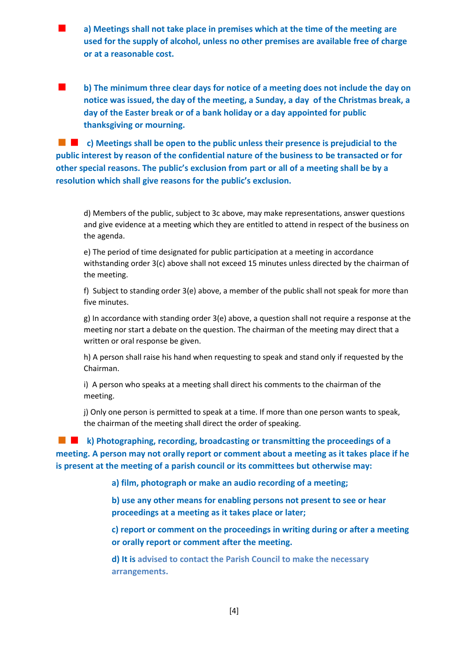**a) Meetings shall not take place in premises which at the time of the meeting are used for the supply of alcohol, unless no other premises are available free of charge or at a reasonable cost.**

 **b) The minimum three clear days for notice of a meeting does not include the day on notice was issued, the day of the meeting, a Sunday, a day of the Christmas break, a day of the Easter break or of a bank holiday or a day appointed for public thanksgiving or mourning.**

 **c) Meetings shall be open to the public unless their presence is prejudicial to the public interest by reason of the confidential nature of the business to be transacted or for other special reasons. The public's exclusion from part or all of a meeting shall be by a resolution which shall give reasons for the public's exclusion.**

d) Members of the public, subject to 3c above, may make representations, answer questions and give evidence at a meeting which they are entitled to attend in respect of the business on the agenda.

e) The period of time designated for public participation at a meeting in accordance withstanding order 3(c) above shall not exceed 15 minutes unless directed by the chairman of the meeting.

f) Subject to standing order 3(e) above, a member of the public shall not speak for more than five minutes.

g) In accordance with standing order 3(e) above, a question shall not require a response at the meeting nor start a debate on the question. The chairman of the meeting may direct that a written or oral response be given.

h) A person shall raise his hand when requesting to speak and stand only if requested by the Chairman.

i) A person who speaks at a meeting shall direct his comments to the chairman of the meeting.

j) Only one person is permitted to speak at a time. If more than one person wants to speak, the chairman of the meeting shall direct the order of speaking.

 **k) Photographing, recording, broadcasting or transmitting the proceedings of a meeting. A person may not orally report or comment about a meeting as it takes place if he is present at the meeting of a parish council or its committees but otherwise may:**

**a) film, photograph or make an audio recording of a meeting;**

**b) use any other means for enabling persons not present to see or hear proceedings at a meeting as it takes place or later;**

**c) report or comment on the proceedings in writing during or after a meeting or orally report or comment after the meeting.**

**d) It is advised to contact the Parish Council to make the necessary arrangements.**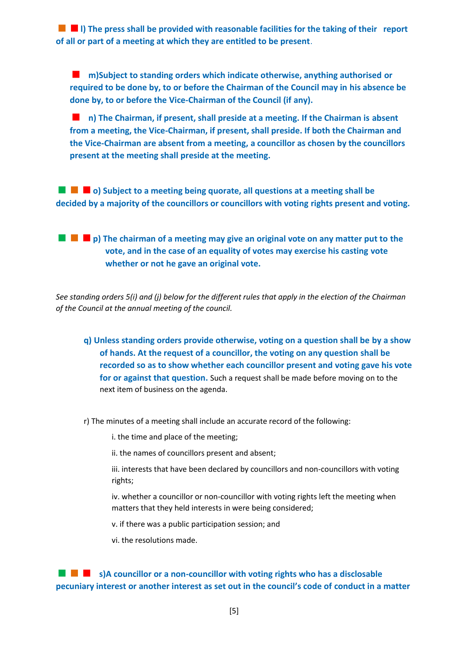**l)** The press shall be provided with reasonable facilities for the taking of their report **of all or part of a meeting at which they are entitled to be present**.

 **m)Subject to standing orders which indicate otherwise, anything authorised or required to be done by, to or before the Chairman of the Council may in his absence be done by, to or before the Vice-Chairman of the Council (if any).**

**n**) The Chairman, if present, shall preside at a meeting. If the Chairman is absent **from a meeting, the Vice-Chairman, if present, shall preside. If both the Chairman and the Vice-Chairman are absent from a meeting, a councillor as chosen by the councillors present at the meeting shall preside at the meeting.**

**o**) Subject to a meeting being quorate, all questions at a meeting shall be **decided by a majority of the councillors or councillors with voting rights present and voting.**

**p**) The chairman of a meeting may give an original vote on any matter put to the **vote, and in the case of an equality of votes may exercise his casting vote whether or not he gave an original vote.**

*See standing orders 5(i) and (j) below for the different rules that apply in the election of the Chairman of the Council at the annual meeting of the council.*

- **q) Unless standing orders provide otherwise, voting on a question shall be by a show of hands. At the request of a councillor, the voting on any question shall be recorded so as to show whether each councillor present and voting gave his vote for or against that question.** Such a request shall be made before moving on to the next item of business on the agenda.
- r) The minutes of a meeting shall include an accurate record of the following:

i. the time and place of the meeting;

ii. the names of councillors present and absent;

iii. interests that have been declared by councillors and non-councillors with voting rights;

iv. whether a councillor or non-councillor with voting rights left the meeting when matters that they held interests in were being considered;

v. if there was a public participation session; and

vi. the resolutions made.

 **s)A councillor or a non-councillor with voting rights who has a disclosable pecuniary interest or another interest as set out in the council's code of conduct in a matter**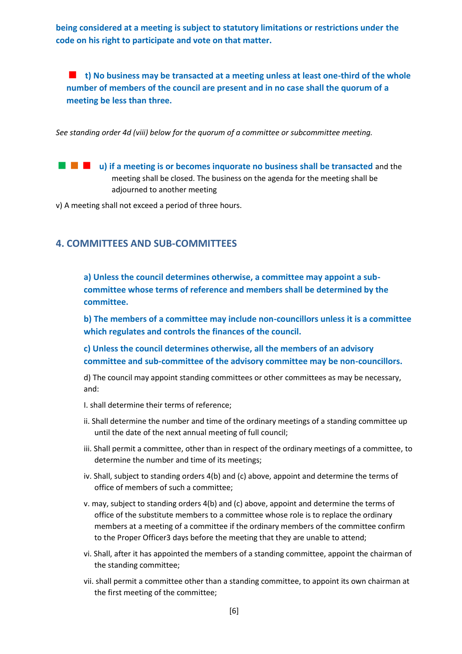**being considered at a meeting is subject to statutory limitations or restrictions under the code on his right to participate and vote on that matter.**

**t)** No business may be transacted at a meeting unless at least one-third of the whole **number of members of the council are present and in no case shall the quorum of a meeting be less than three.**

*See standing order 4d (viii) below for the quorum of a committee or subcommittee meeting.*

**u)** if a meeting is or becomes inquorate no business shall be transacted and the meeting shall be closed. The business on the agenda for the meeting shall be adjourned to another meeting

v) A meeting shall not exceed a period of three hours.

#### <span id="page-5-0"></span>**4. COMMITTEES AND SUB-COMMITTEES**

**a) Unless the council determines otherwise, a committee may appoint a subcommittee whose terms of reference and members shall be determined by the committee.**

**b) The members of a committee may include non-councillors unless it is a committee which regulates and controls the finances of the council.**

**c) Unless the council determines otherwise, all the members of an advisory committee and sub-committee of the advisory committee may be non-councillors.**

d) The council may appoint standing committees or other committees as may be necessary, and:

- I. shall determine their terms of reference;
- ii. Shall determine the number and time of the ordinary meetings of a standing committee up until the date of the next annual meeting of full council;
- iii. Shall permit a committee, other than in respect of the ordinary meetings of a committee, to determine the number and time of its meetings;
- iv. Shall, subject to standing orders 4(b) and (c) above, appoint and determine the terms of office of members of such a committee;
- v. may, subject to standing orders 4(b) and (c) above, appoint and determine the terms of office of the substitute members to a committee whose role is to replace the ordinary members at a meeting of a committee if the ordinary members of the committee confirm to the Proper Officer3 days before the meeting that they are unable to attend;
- vi. Shall, after it has appointed the members of a standing committee, appoint the chairman of the standing committee;
- vii. shall permit a committee other than a standing committee, to appoint its own chairman at the first meeting of the committee;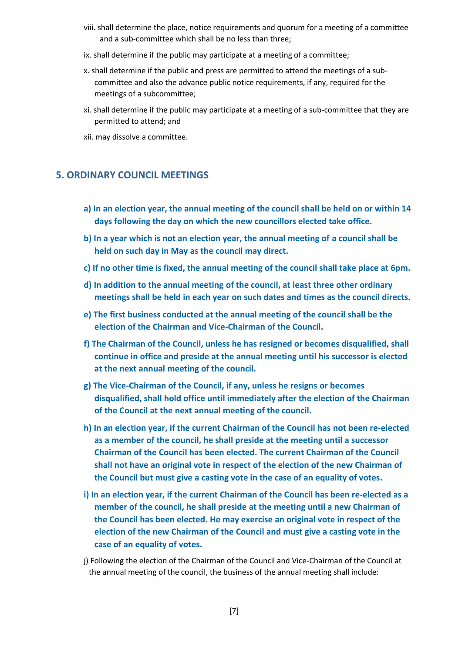- viii. shall determine the place, notice requirements and quorum for a meeting of a committee and a sub-committee which shall be no less than three;
- ix. shall determine if the public may participate at a meeting of a committee;
- x. shall determine if the public and press are permitted to attend the meetings of a subcommittee and also the advance public notice requirements, if any, required for the meetings of a subcommittee;
- xi. shall determine if the public may participate at a meeting of a sub-committee that they are permitted to attend; and
- xii. may dissolve a committee.

#### <span id="page-6-0"></span>**5. ORDINARY COUNCIL MEETINGS**

- **a) In an election year, the annual meeting of the council shall be held on or within 14 days following the day on which the new councillors elected take office.**
- **b) In a year which is not an election year, the annual meeting of a council shall be held on such day in May as the council may direct.**
- **c) If no other time is fixed, the annual meeting of the council shall take place at 6pm.**
- **d) In addition to the annual meeting of the council, at least three other ordinary meetings shall be held in each year on such dates and times as the council directs.**
- **e) The first business conducted at the annual meeting of the council shall be the election of the Chairman and Vice-Chairman of the Council.**
- **f) The Chairman of the Council, unless he has resigned or becomes disqualified, shall continue in office and preside at the annual meeting until his successor is elected at the next annual meeting of the council.**
- **g) The Vice-Chairman of the Council, if any, unless he resigns or becomes disqualified, shall hold office until immediately after the election of the Chairman of the Council at the next annual meeting of the council.**
- **h) In an election year, if the current Chairman of the Council has not been re-elected as a member of the council, he shall preside at the meeting until a successor Chairman of the Council has been elected. The current Chairman of the Council shall not have an original vote in respect of the election of the new Chairman of the Council but must give a casting vote in the case of an equality of votes.**
- **i) In an election year, if the current Chairman of the Council has been re-elected as a member of the council, he shall preside at the meeting until a new Chairman of the Council has been elected. He may exercise an original vote in respect of the election of the new Chairman of the Council and must give a casting vote in the case of an equality of votes.**
- j) Following the election of the Chairman of the Council and Vice-Chairman of the Council at the annual meeting of the council, the business of the annual meeting shall include: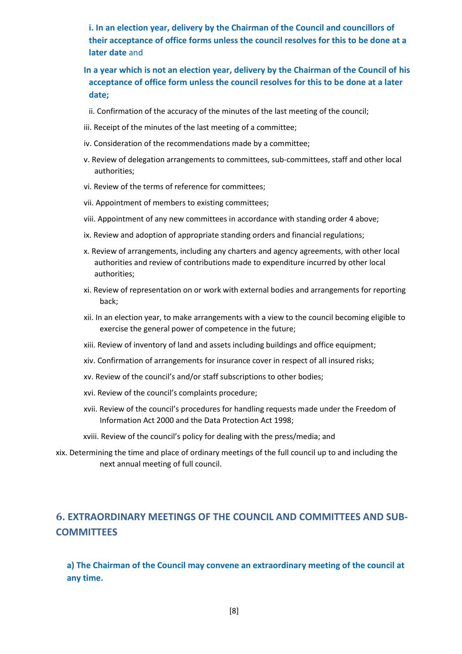**i. In an election year, delivery by the Chairman of the Council and councillors of their acceptance of office forms unless the council resolves for this to be done at a later date** and

- **In a year which is not an election year, delivery by the Chairman of the Council of his acceptance of office form unless the council resolves for this to be done at a later date;**
- ii. Confirmation of the accuracy of the minutes of the last meeting of the council;
- iii. Receipt of the minutes of the last meeting of a committee;
- iv. Consideration of the recommendations made by a committee;
- v. Review of delegation arrangements to committees, sub-committees, staff and other local authorities;
- vi. Review of the terms of reference for committees;
- vii. Appointment of members to existing committees;
- viii. Appointment of any new committees in accordance with standing order 4 above;
- ix. Review and adoption of appropriate standing orders and financial regulations;
- x. Review of arrangements, including any charters and agency agreements, with other local authorities and review of contributions made to expenditure incurred by other local authorities;
- xi. Review of representation on or work with external bodies and arrangements for reporting back;
- xii. In an election year, to make arrangements with a view to the council becoming eligible to exercise the general power of competence in the future;
- xiii. Review of inventory of land and assets including buildings and office equipment;
- xiv. Confirmation of arrangements for insurance cover in respect of all insured risks;
- xv. Review of the council's and/or staff subscriptions to other bodies;
- xvi. Review of the council's complaints procedure;
- xvii. Review of the council's procedures for handling requests made under the Freedom of Information Act 2000 and the Data Protection Act 1998;
- xviii. Review of the council's policy for dealing with the press/media; and
- xix. Determining the time and place of ordinary meetings of the full council up to and including the next annual meeting of full council.

# <span id="page-7-0"></span>**6. EXTRAORDINARY MEETINGS OF THE COUNCIL AND COMMITTEES AND SUB-COMMITTEES**

**a) The Chairman of the Council may convene an extraordinary meeting of the council at any time.**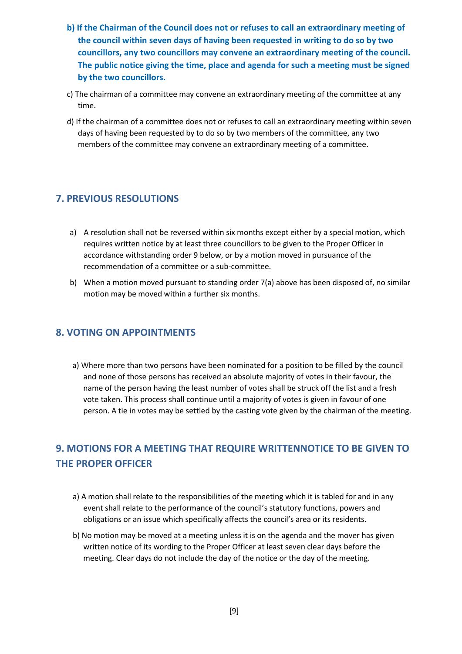- **b) If the Chairman of the Council does not or refuses to call an extraordinary meeting of the council within seven days of having been requested in writing to do so by two councillors, any two councillors may convene an extraordinary meeting of the council. The public notice giving the time, place and agenda for such a meeting must be signed by the two councillors.**
- c) The chairman of a committee may convene an extraordinary meeting of the committee at any time.
- d) If the chairman of a committee does not or refuses to call an extraordinary meeting within seven days of having been requested by to do so by two members of the committee, any two members of the committee may convene an extraordinary meeting of a committee.

### <span id="page-8-0"></span>**7. PREVIOUS RESOLUTIONS**

- a) A resolution shall not be reversed within six months except either by a special motion, which requires written notice by at least three councillors to be given to the Proper Officer in accordance withstanding order 9 below, or by a motion moved in pursuance of the recommendation of a committee or a sub-committee.
- b) When a motion moved pursuant to standing order 7(a) above has been disposed of, no similar motion may be moved within a further six months.

### <span id="page-8-1"></span>**8. VOTING ON APPOINTMENTS**

a) Where more than two persons have been nominated for a position to be filled by the council and none of those persons has received an absolute majority of votes in their favour, the name of the person having the least number of votes shall be struck off the list and a fresh vote taken. This process shall continue until a majority of votes is given in favour of one person. A tie in votes may be settled by the casting vote given by the chairman of the meeting.

# <span id="page-8-2"></span>**9. MOTIONS FOR A MEETING THAT REQUIRE WRITTENNOTICE TO BE GIVEN TO THE PROPER OFFICER**

- a) A motion shall relate to the responsibilities of the meeting which it is tabled for and in any event shall relate to the performance of the council's statutory functions, powers and obligations or an issue which specifically affects the council's area or its residents.
- b) No motion may be moved at a meeting unless it is on the agenda and the mover has given written notice of its wording to the Proper Officer at least seven clear days before the meeting. Clear days do not include the day of the notice or the day of the meeting.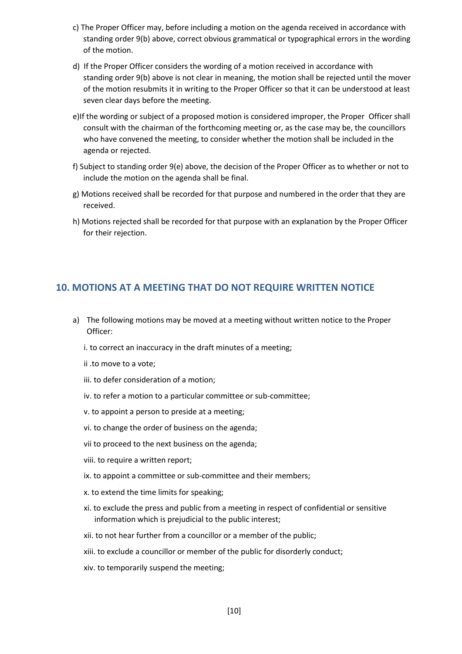- c) The Proper Officer may, before including a motion on the agenda received in accordance with standing order 9(b) above, correct obvious grammatical or typographical errors in the wording of the motion.
- d) If the Proper Officer considers the wording of a motion received in accordance with standing order 9(b) above is not clear in meaning, the motion shall be rejected until the mover of the motion resubmits it in writing to the Proper Officer so that it can be understood at least seven clear days before the meeting.
- e)If the wording or subject of a proposed motion is considered improper, the Proper Officer shall consult with the chairman of the forthcoming meeting or, as the case may be, the councillors who have convened the meeting, to consider whether the motion shall be included in the agenda or rejected.
- f) Subject to standing order 9(e) above, the decision of the Proper Officer as to whether or not to include the motion on the agenda shall be final.
- g) Motions received shall be recorded for that purpose and numbered in the order that they are received.
- h) Motions rejected shall be recorded for that purpose with an explanation by the Proper Officer for their rejection.

#### <span id="page-9-0"></span>**10. MOTIONS AT A MEETING THAT DO NOT REQUIRE WRITTEN NOTICE**

- a) The following motions may be moved at a meeting without written notice to the Proper Officer:
	- i. to correct an inaccuracy in the draft minutes of a meeting;
	- ii .to move to a vote;
	- iii. to defer consideration of a motion;
	- iv. to refer a motion to a particular committee or sub-committee;
	- v. to appoint a person to preside at a meeting;
	- vi. to change the order of business on the agenda;
	- vii to proceed to the next business on the agenda;
	- viii. to require a written report;
	- ix. to appoint a committee or sub-committee and their members;
	- x. to extend the time limits for speaking;
	- xi. to exclude the press and public from a meeting in respect of confidential or sensitive information which is prejudicial to the public interest;
	- xii. to not hear further from a councillor or a member of the public;
	- xiii. to exclude a councillor or member of the public for disorderly conduct;
	- xiv. to temporarily suspend the meeting;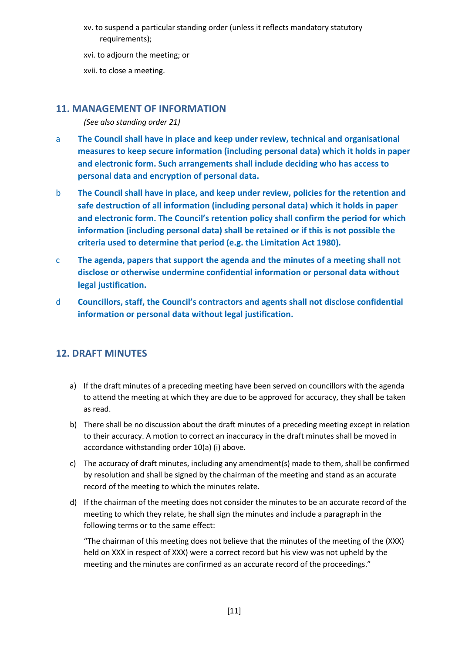xv. to suspend a particular standing order (unless it reflects mandatory statutory requirements);

xvi. to adjourn the meeting; or

xvii. to close a meeting.

#### <span id="page-10-0"></span>**11. MANAGEMENT OF INFORMATION**

*(See also standing order 21)*

- a **The Council shall have in place and keep under review, technical and organisational measures to keep secure information (including personal data) which it holds in paper and electronic form. Such arrangements shall include deciding who has access to personal data and encryption of personal data.**
- b **The Council shall have in place, and keep under review, policies for the retention and safe destruction of all information (including personal data) which it holds in paper and electronic form. The Council's retention policy shall confirm the period for which information (including personal data) shall be retained or if this is not possible the criteria used to determine that period (e.g. the Limitation Act 1980).**
- c **The agenda, papers that support the agenda and the minutes of a meeting shall not disclose or otherwise undermine confidential information or personal data without legal justification.**
- d **Councillors, staff, the Council's contractors and agents shall not disclose confidential information or personal data without legal justification.**

# <span id="page-10-1"></span>**12. DRAFT MINUTES**

- a) If the draft minutes of a preceding meeting have been served on councillors with the agenda to attend the meeting at which they are due to be approved for accuracy, they shall be taken as read.
- b) There shall be no discussion about the draft minutes of a preceding meeting except in relation to their accuracy. A motion to correct an inaccuracy in the draft minutes shall be moved in accordance withstanding order 10(a) (i) above.
- c) The accuracy of draft minutes, including any amendment(s) made to them, shall be confirmed by resolution and shall be signed by the chairman of the meeting and stand as an accurate record of the meeting to which the minutes relate.
- d) If the chairman of the meeting does not consider the minutes to be an accurate record of the meeting to which they relate, he shall sign the minutes and include a paragraph in the following terms or to the same effect:

"The chairman of this meeting does not believe that the minutes of the meeting of the (XXX) held on XXX in respect of XXX) were a correct record but his view was not upheld by the meeting and the minutes are confirmed as an accurate record of the proceedings."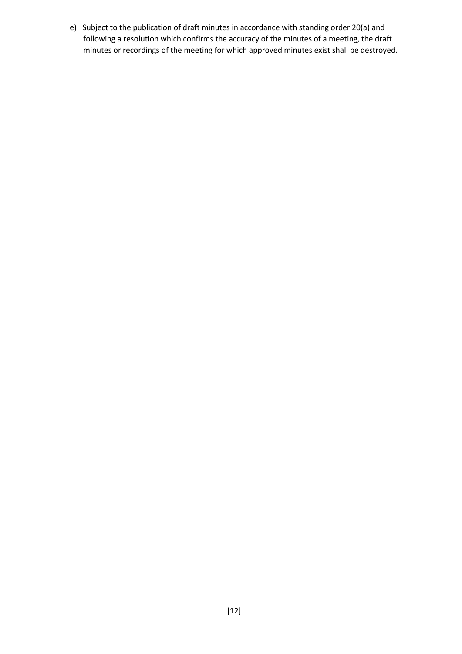e) Subject to the publication of draft minutes in accordance with standing order 20(a) and following a resolution which confirms the accuracy of the minutes of a meeting, the draft minutes or recordings of the meeting for which approved minutes exist shall be destroyed.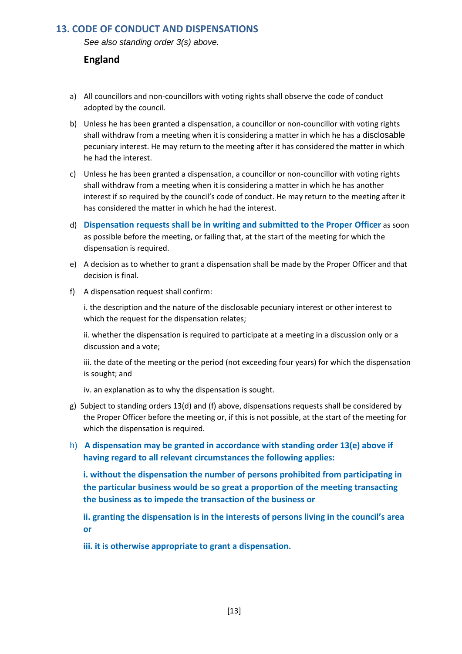#### <span id="page-12-0"></span>**13. CODE OF CONDUCT AND DISPENSATIONS**

*See also standing order 3(s) above.*

#### **England**

- a) All councillors and non-councillors with voting rights shall observe the code of conduct adopted by the council.
- b) Unless he has been granted a dispensation, a councillor or non-councillor with voting rights shall withdraw from a meeting when it is considering a matter in which he has a disclosable pecuniary interest. He may return to the meeting after it has considered the matter in which he had the interest.
- c) Unless he has been granted a dispensation, a councillor or non-councillor with voting rights shall withdraw from a meeting when it is considering a matter in which he has another interest if so required by the council's code of conduct. He may return to the meeting after it has considered the matter in which he had the interest.
- d) **Dispensation requests shall be in writing and submitted to the Proper Officer** as soon as possible before the meeting, or failing that, at the start of the meeting for which the dispensation is required.
- e) A decision as to whether to grant a dispensation shall be made by the Proper Officer and that decision is final.
- f) A dispensation request shall confirm:

i. the description and the nature of the disclosable pecuniary interest or other interest to which the request for the dispensation relates;

ii. whether the dispensation is required to participate at a meeting in a discussion only or a discussion and a vote;

iii. the date of the meeting or the period (not exceeding four years) for which the dispensation is sought; and

iv. an explanation as to why the dispensation is sought.

- g) Subject to standing orders 13(d) and (f) above, dispensations requests shall be considered by the Proper Officer before the meeting or, if this is not possible, at the start of the meeting for which the dispensation is required.
- h) **A dispensation may be granted in accordance with standing order 13(e) above if having regard to all relevant circumstances the following applies:**

**i. without the dispensation the number of persons prohibited from participating in the particular business would be so great a proportion of the meeting transacting the business as to impede the transaction of the business or**

**ii. granting the dispensation is in the interests of persons living in the council's area or**

**iii. it is otherwise appropriate to grant a dispensation.**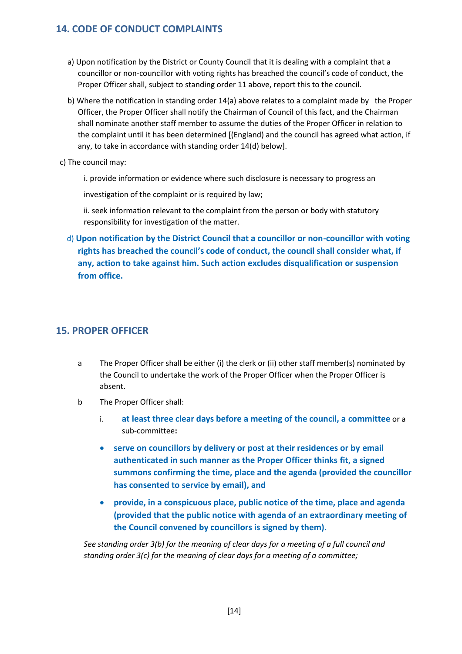### <span id="page-13-0"></span>**14. CODE OF CONDUCT COMPLAINTS**

- a) Upon notification by the District or County Council that it is dealing with a complaint that a councillor or non-councillor with voting rights has breached the council's code of conduct, the Proper Officer shall, subject to standing order 11 above, report this to the council.
- b) Where the notification in standing order 14(a) above relates to a complaint made by the Proper Officer, the Proper Officer shall notify the Chairman of Council of this fact, and the Chairman shall nominate another staff member to assume the duties of the Proper Officer in relation to the complaint until it has been determined [(England) and the council has agreed what action, if any, to take in accordance with standing order 14(d) below].
- c) The council may:

i. provide information or evidence where such disclosure is necessary to progress an

investigation of the complaint or is required by law:

ii. seek information relevant to the complaint from the person or body with statutory responsibility for investigation of the matter.

d) **Upon notification by the District Council that a councillor or non-councillor with voting rights has breached the council's code of conduct, the council shall consider what, if any, action to take against him. Such action excludes disqualification or suspension from office.**

### <span id="page-13-1"></span>**15. PROPER OFFICER**

- a The Proper Officer shall be either (i) the clerk or (ii) other staff member(s) nominated by the Council to undertake the work of the Proper Officer when the Proper Officer is absent.
- b The Proper Officer shall:
	- i. **at least three clear days before a meeting of the council, a committee** or a sub-committee**:**
	- **serve on councillors by delivery or post at their residences or by email authenticated in such manner as the Proper Officer thinks fit, a signed summons confirming the time, place and the agenda (provided the councillor has consented to service by email), and**
	- **provide, in a conspicuous place, public notice of the time, place and agenda (provided that the public notice with agenda of an extraordinary meeting of the Council convened by councillors is signed by them).**

*See standing order 3(b) for the meaning of clear days for a meeting of a full council and standing order 3(c) for the meaning of clear days for a meeting of a committee;*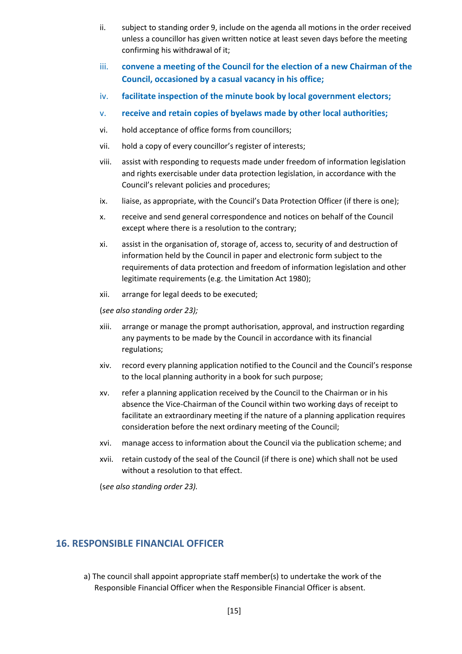- ii. subject to standing order 9, include on the agenda all motions in the order received unless a councillor has given written notice at least seven days before the meeting confirming his withdrawal of it;
- iii. **convene a meeting of the Council for the election of a new Chairman of the Council, occasioned by a casual vacancy in his office;**
- iv. **facilitate inspection of the minute book by local government electors;**
- v. **receive and retain copies of byelaws made by other local authorities;**
- vi. hold acceptance of office forms from councillors;
- vii. hold a copy of every councillor's register of interests;
- viii. assist with responding to requests made under freedom of information legislation and rights exercisable under data protection legislation, in accordance with the Council's relevant policies and procedures;
- ix. liaise, as appropriate, with the Council's Data Protection Officer (if there is one);
- x. receive and send general correspondence and notices on behalf of the Council except where there is a resolution to the contrary;
- xi. assist in the organisation of, storage of, access to, security of and destruction of information held by the Council in paper and electronic form subject to the requirements of data protection and freedom of information legislation and other legitimate requirements (e.g. the Limitation Act 1980);
- xii. arrange for legal deeds to be executed;

(*see also standing order 23);*

- xiii. arrange or manage the prompt authorisation, approval, and instruction regarding any payments to be made by the Council in accordance with its financial regulations;
- xiv. record every planning application notified to the Council and the Council's response to the local planning authority in a book for such purpose;
- xv. refer a planning application received by the Council to the Chairman or in his absence the Vice-Chairman of the Council within two working days of receipt to facilitate an extraordinary meeting if the nature of a planning application requires consideration before the next ordinary meeting of the Council;
- xvi. manage access to information about the Council via the publication scheme; and
- xvii. retain custody of the seal of the Council (if there is one) which shall not be used without a resolution to that effect.

(s*ee also standing order 23).*

#### <span id="page-14-0"></span>**16. RESPONSIBLE FINANCIAL OFFICER**

a) The council shall appoint appropriate staff member(s) to undertake the work of the Responsible Financial Officer when the Responsible Financial Officer is absent.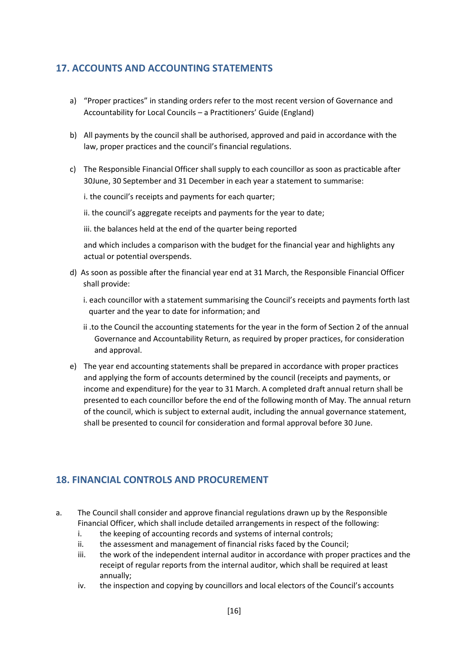### <span id="page-15-0"></span>**17. ACCOUNTS AND ACCOUNTING STATEMENTS**

- a) "Proper practices" in standing orders refer to the most recent version of Governance and Accountability for Local Councils – a Practitioners' Guide (England)
- b) All payments by the council shall be authorised, approved and paid in accordance with the law, proper practices and the council's financial regulations.
- c) The Responsible Financial Officer shall supply to each councillor as soon as practicable after 30June, 30 September and 31 December in each year a statement to summarise:
	- i. the council's receipts and payments for each quarter;
	- ii. the council's aggregate receipts and payments for the year to date;
	- iii. the balances held at the end of the quarter being reported

and which includes a comparison with the budget for the financial year and highlights any actual or potential overspends.

- d) As soon as possible after the financial year end at 31 March, the Responsible Financial Officer shall provide:
	- i. each councillor with a statement summarising the Council's receipts and payments forth last quarter and the year to date for information; and
	- ii .to the Council the accounting statements for the year in the form of Section 2 of the annual Governance and Accountability Return, as required by proper practices, for consideration and approval.
- e) The year end accounting statements shall be prepared in accordance with proper practices and applying the form of accounts determined by the council (receipts and payments, or income and expenditure) for the year to 31 March. A completed draft annual return shall be presented to each councillor before the end of the following month of May. The annual return of the council, which is subject to external audit, including the annual governance statement, shall be presented to council for consideration and formal approval before 30 June.

# <span id="page-15-1"></span>**18. FINANCIAL CONTROLS AND PROCUREMENT**

- a. The Council shall consider and approve financial regulations drawn up by the Responsible Financial Officer, which shall include detailed arrangements in respect of the following:
	- i. the keeping of accounting records and systems of internal controls;
	- ii. the assessment and management of financial risks faced by the Council;
	- iii. the work of the independent internal auditor in accordance with proper practices and the receipt of regular reports from the internal auditor, which shall be required at least annually;
	- iv. the inspection and copying by councillors and local electors of the Council's accounts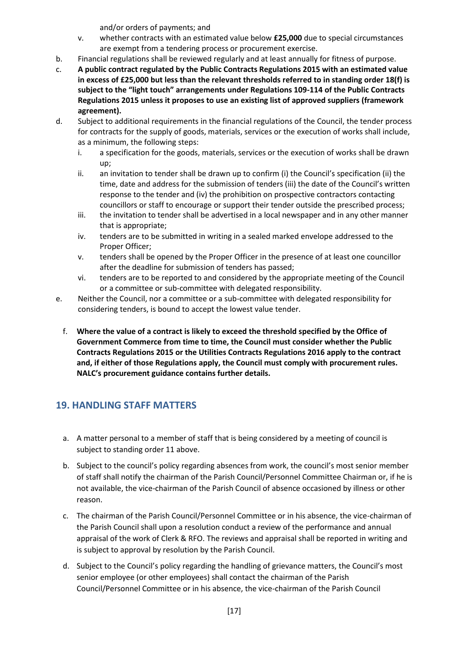and/or orders of payments; and

- v. whether contracts with an estimated value below **£25,000** due to special circumstances are exempt from a tendering process or procurement exercise.
- b. Financial regulations shall be reviewed regularly and at least annually for fitness of purpose.
- c. **A public contract regulated by the Public Contracts Regulations 2015 with an estimated value in excess of £25,000 but less than the relevant thresholds referred to in standing order 18(f) is subject to the "light touch" arrangements under Regulations 109-114 of the Public Contracts Regulations 2015 unless it proposes to use an existing list of approved suppliers (framework agreement).**
- d. Subject to additional requirements in the financial regulations of the Council, the tender process for contracts for the supply of goods, materials, services or the execution of works shall include, as a minimum, the following steps:
	- i. a specification for the goods, materials, services or the execution of works shall be drawn up;
	- ii. an invitation to tender shall be drawn up to confirm (i) the Council's specification (ii) the time, date and address for the submission of tenders (iii) the date of the Council's written response to the tender and (iv) the prohibition on prospective contractors contacting councillors or staff to encourage or support their tender outside the prescribed process;
	- iii. the invitation to tender shall be advertised in a local newspaper and in any other manner that is appropriate;
	- iv. tenders are to be submitted in writing in a sealed marked envelope addressed to the Proper Officer;
	- v. tenders shall be opened by the Proper Officer in the presence of at least one councillor after the deadline for submission of tenders has passed;
	- vi. tenders are to be reported to and considered by the appropriate meeting of the Council or a committee or sub-committee with delegated responsibility.
- e. Neither the Council, nor a committee or a sub-committee with delegated responsibility for considering tenders, is bound to accept the lowest value tender.
	- f. **Where the value of a contract is likely to exceed the threshold specified by the Office of Government Commerce from time to time, the Council must consider whether the Public Contracts Regulations 2015 or the Utilities Contracts Regulations 2016 apply to the contract and, if either of those Regulations apply, the Council must comply with procurement rules. NALC's procurement guidance contains further details.**

# <span id="page-16-0"></span>**19. HANDLING STAFF MATTERS**

- a. A matter personal to a member of staff that is being considered by a meeting of council is subject to standing order 11 above.
- b. Subject to the council's policy regarding absences from work, the council's most senior member of staff shall notify the chairman of the Parish Council/Personnel Committee Chairman or, if he is not available, the vice-chairman of the Parish Council of absence occasioned by illness or other reason.
- c. The chairman of the Parish Council/Personnel Committee or in his absence, the vice-chairman of the Parish Council shall upon a resolution conduct a review of the performance and annual appraisal of the work of Clerk & RFO. The reviews and appraisal shall be reported in writing and is subject to approval by resolution by the Parish Council.
- d. Subject to the Council's policy regarding the handling of grievance matters, the Council's most senior employee (or other employees) shall contact the chairman of the Parish Council/Personnel Committee or in his absence, the vice-chairman of the Parish Council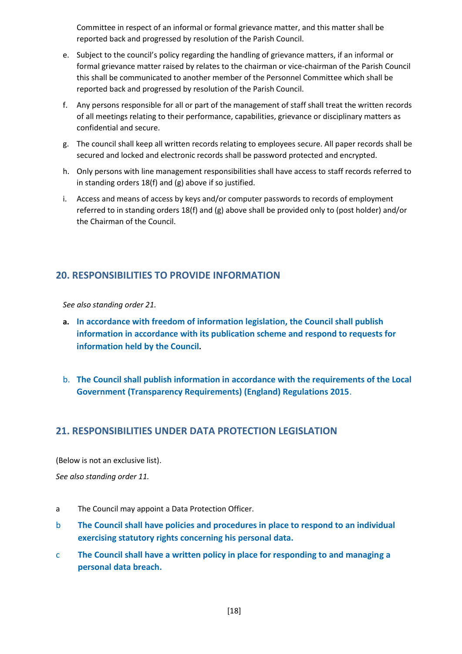Committee in respect of an informal or formal grievance matter, and this matter shall be reported back and progressed by resolution of the Parish Council.

- e. Subject to the council's policy regarding the handling of grievance matters, if an informal or formal grievance matter raised by relates to the chairman or vice-chairman of the Parish Council this shall be communicated to another member of the Personnel Committee which shall be reported back and progressed by resolution of the Parish Council.
- f. Any persons responsible for all or part of the management of staff shall treat the written records of all meetings relating to their performance, capabilities, grievance or disciplinary matters as confidential and secure.
- g. The council shall keep all written records relating to employees secure. All paper records shall be secured and locked and electronic records shall be password protected and encrypted.
- h. Only persons with line management responsibilities shall have access to staff records referred to in standing orders 18(f) and (g) above if so justified.
- i. Access and means of access by keys and/or computer passwords to records of employment referred to in standing orders 18(f) and (g) above shall be provided only to (post holder) and/or the Chairman of the Council.

# <span id="page-17-0"></span>**20. RESPONSIBILITIES TO PROVIDE INFORMATION**

*See also standing order 21.*

- **a. In accordance with freedom of information legislation, the Council shall publish information in accordance with its publication scheme and respond to requests for information held by the Council.**
- b. **The Council shall publish information in accordance with the requirements of the Local Government (Transparency Requirements) (England) Regulations 2015**.

### <span id="page-17-1"></span>**21. RESPONSIBILITIES UNDER DATA PROTECTION LEGISLATION**

(Below is not an exclusive list).

*See also standing order 11.*

- a The Council may appoint a Data Protection Officer.
- b **The Council shall have policies and procedures in place to respond to an individual exercising statutory rights concerning his personal data.**
- c **The Council shall have a written policy in place for responding to and managing a personal data breach.**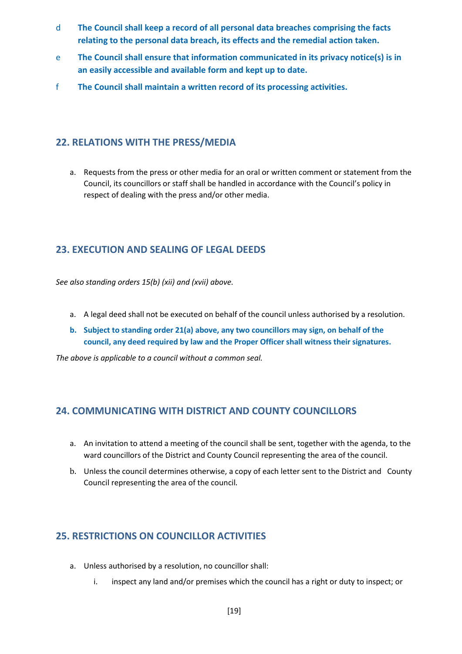- d **The Council shall keep a record of all personal data breaches comprising the facts relating to the personal data breach, its effects and the remedial action taken.**
- e **The Council shall ensure that information communicated in its privacy notice(s) is in an easily accessible and available form and kept up to date.**
- f **The Council shall maintain a written record of its processing activities.**

### <span id="page-18-0"></span>**22. RELATIONS WITH THE PRESS/MEDIA**

a. Requests from the press or other media for an oral or written comment or statement from the Council, its councillors or staff shall be handled in accordance with the Council's policy in respect of dealing with the press and/or other media.

### <span id="page-18-1"></span>**23. EXECUTION AND SEALING OF LEGAL DEEDS**

*See also standing orders 15(b) (xii) and (xvii) above.*

- a. A legal deed shall not be executed on behalf of the council unless authorised by a resolution.
- **b. Subject to standing order 21(a) above, any two councillors may sign, on behalf of the council, any deed required by law and the Proper Officer shall witness their signatures.**

*The above is applicable to a council without a common seal.*

### <span id="page-18-2"></span>**24. COMMUNICATING WITH DISTRICT AND COUNTY COUNCILLORS**

- a. An invitation to attend a meeting of the council shall be sent, together with the agenda, to the ward councillors of the District and County Council representing the area of the council.
- b. Unless the council determines otherwise, a copy of each letter sent to the District and County Council representing the area of the council.

### <span id="page-18-3"></span>**25. RESTRICTIONS ON COUNCILLOR ACTIVITIES**

- a. Unless authorised by a resolution, no councillor shall:
	- i. inspect any land and/or premises which the council has a right or duty to inspect; or